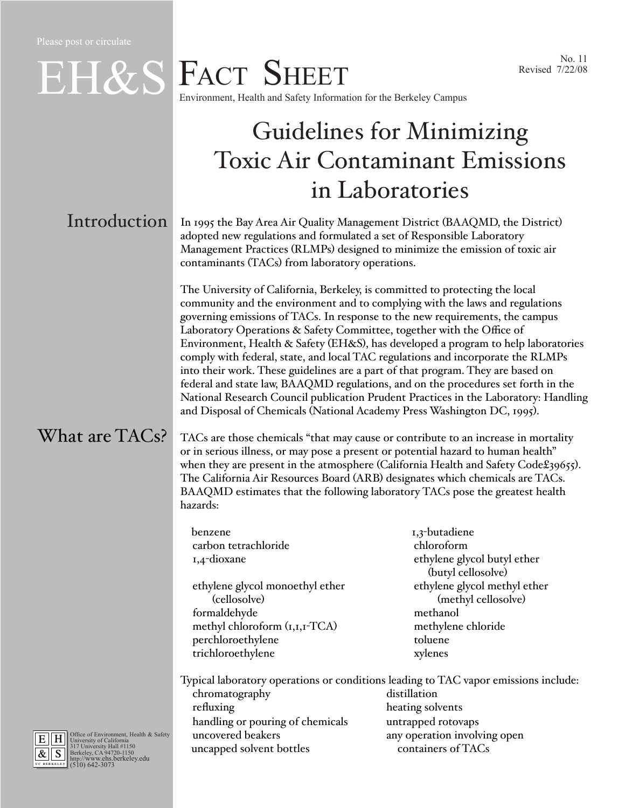### Revised 7/22/08

# EH&S FACT SHEET<br>Environment, Health and Safety Information for the Berkeley Campus<br>Revised 7/22/08 Environment, Health and Safety Information for the Berkeley Campus

## Guidelines for Minimizing Toxic Air Contaminant Emissions in Laboratories

### **Introduction**

In 1995 the Bay Area Air Quality Management District (BAAQMD, the District) adopted new regulations and formulated a set of Responsible Laboratory Management Practices (RLMPs) designed to minimize the emission of toxic air contaminants (TACs) from laboratory operations.

The University of California, Berkeley, is committed to protecting the local community and the environment and to complying with the laws and regulations governing emissions of TACs. In response to the new requirements, the campus Laboratory Operations & Safety Committee, together with the Office of Environment, Health & Safety (EH&S), has developed a program to help laboratories comply with federal, state, and local TAC regulations and incorporate the RLMPs into their work. These guidelines are a part of that program. They are based on federal and state law, BAAQMD regulations, and on the procedures set forth in the National Research Council publication Prudent Practices in the Laboratory: Handling and Disposal of Chemicals (National Academy Press Washington DC, 1995).

#### What are TACs?

TACs are those chemicals "that may cause or contribute to an increase in mortality or in serious illness, or may pose a present or potential hazard to human health" when they are present in the atmosphere (California Health and Safety Code£39655). The California Air Resources Board (ARB) designates which chemicals are TACs. BAAQMD estimates that the following laboratory TACs pose the greatest health hazards:

benzene 1,3-butadiene carbon tetrachloride chloroform

ethylene glycol monoethyl ether ethylene glycol methyl ether (cellosolve) (methyl cellosolve) formaldehyde methanol methyl chloroform  $(i,1,1-TCA)$  methylene chloride perchloroethylene toluene trichloroethylene xylenes

1,4-dioxane ethylene glycol butyl ether (butyl cellosolve)

Typical laboratory operations or conditions leading to TAC vapor emissions include: chromatography distillation refluxing heating solvents handling or pouring of chemicals untrapped rotovaps uncovered beakers any operation involving open uncapped solvent bottles containers of TACs

UC BERKELEY  $\overline{\mathbf{H}}$ &  $\|$  S

E H Office of Environment, Health & Safety<br>  $\frac{R}{\mathcal{R}}$  S Berkeley, CA 94720-1150<br>
Berkeley, CA 94720-1150<br> **EXERENT BERKELEY (510) 642-3073**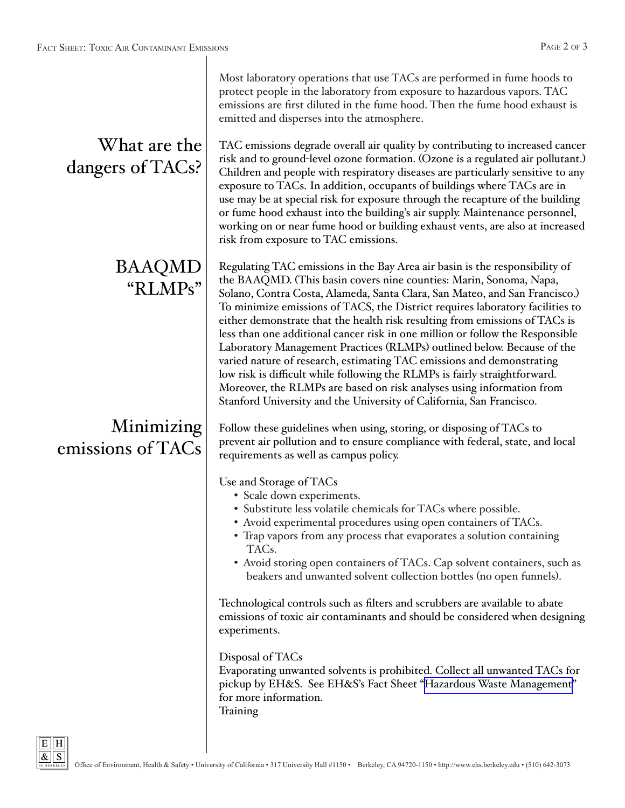| What are the<br>dangers of TACs? | Most laboratory operations that use TACs are performed in fume hoods to<br>protect people in the laboratory from exposure to hazardous vapors. TAC<br>emissions are first diluted in the fume hood. Then the fume hood exhaust is<br>emitted and disperses into the atmosphere.<br>TAC emissions degrade overall air quality by contributing to increased cancer<br>risk and to ground-level ozone formation. (Ozone is a regulated air pollutant.)<br>Children and people with respiratory diseases are particularly sensitive to any<br>exposure to TACs. In addition, occupants of buildings where TACs are in<br>use may be at special risk for exposure through the recapture of the building<br>or fume hood exhaust into the building's air supply. Maintenance personnel,<br>working on or near fume hood or building exhaust vents, are also at increased<br>risk from exposure to TAC emissions.                                                                                                                            |
|----------------------------------|---------------------------------------------------------------------------------------------------------------------------------------------------------------------------------------------------------------------------------------------------------------------------------------------------------------------------------------------------------------------------------------------------------------------------------------------------------------------------------------------------------------------------------------------------------------------------------------------------------------------------------------------------------------------------------------------------------------------------------------------------------------------------------------------------------------------------------------------------------------------------------------------------------------------------------------------------------------------------------------------------------------------------------------|
| <b>BAAQMD</b><br>"RLMPs"         | Regulating TAC emissions in the Bay Area air basin is the responsibility of<br>the BAAQMD. (This basin covers nine counties: Marin, Sonoma, Napa,<br>Solano, Contra Costa, Alameda, Santa Clara, San Mateo, and San Francisco.)<br>To minimize emissions of TACS, the District requires laboratory facilities to<br>either demonstrate that the health risk resulting from emissions of TACs is<br>less than one additional cancer risk in one million or follow the Responsible<br>Laboratory Management Practices (RLMPs) outlined below. Because of the<br>varied nature of research, estimating TAC emissions and demonstrating<br>low risk is difficult while following the RLMPs is fairly straightforward.<br>Moreover, the RLMPs are based on risk analyses using information from<br>Stanford University and the University of California, San Francisco.                                                                                                                                                                    |
| Minimizing<br>emissions of TACs  | Follow these guidelines when using, storing, or disposing of TACs to<br>prevent air pollution and to ensure compliance with federal, state, and local<br>requirements as well as campus policy.<br>Use and Storage of TACs<br>• Scale down experiments.<br>• Substitute less volatile chemicals for TACs where possible.<br>• Avoid experimental procedures using open containers of TACs.<br>• Trap vapors from any process that evaporates a solution containing<br>TAC <sub>s</sub> .<br>• Avoid storing open containers of TACs. Cap solvent containers, such as<br>beakers and unwanted solvent collection bottles (no open funnels).<br>Technological controls such as filters and scrubbers are available to abate<br>emissions of toxic air contaminants and should be considered when designing<br>experiments.<br>Disposal of TACs<br>Evaporating unwanted solvents is prohibited. Collect all unwanted TACs for<br>pickup by EH&S. See EH&S's Fact Sheet "Hazardous Waste Management"<br>for more information.<br>Training |